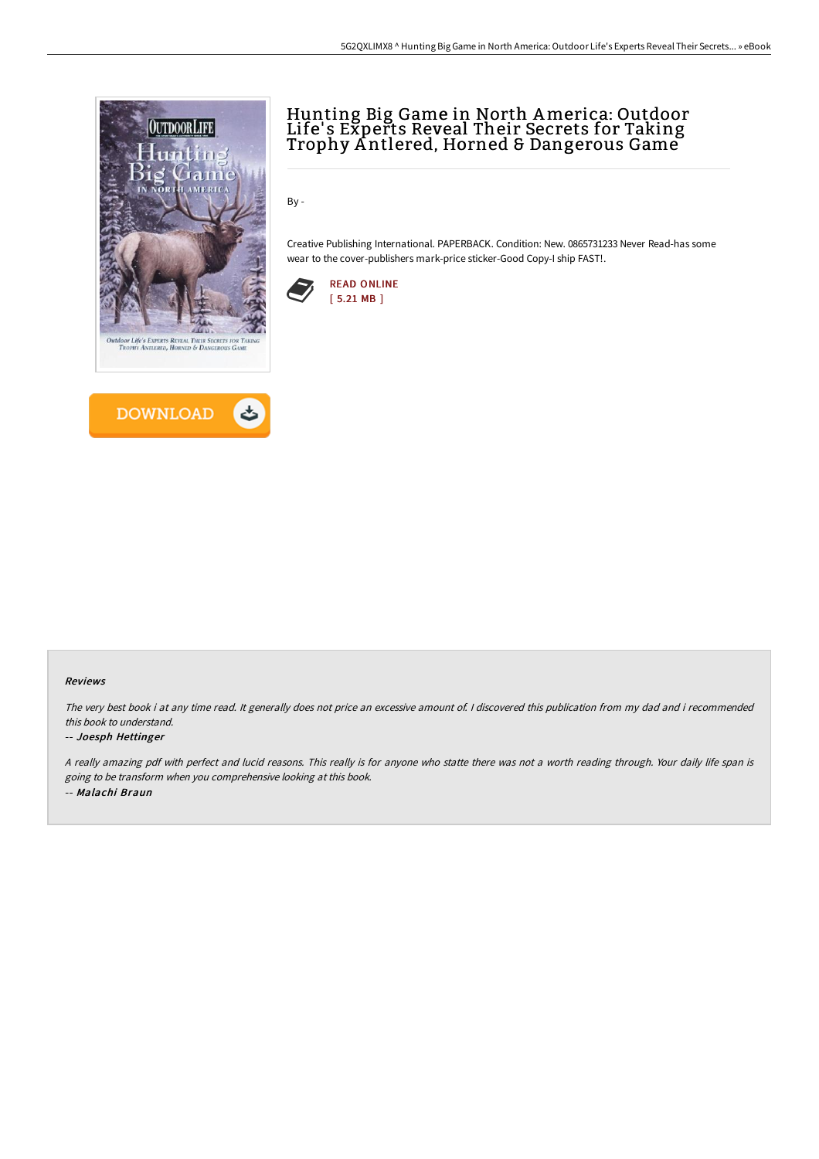



# Hunting Big Game in North America: Outdoor Life's Experts Reveal Their Secrets for Taking Trophy A ntlered, Horned & Dangerous Game

By -

Creative Publishing International. PAPERBACK. Condition: New. 0865731233 Never Read-has some wear to the cover-publishers mark-price sticker-Good Copy-I ship FAST!.



#### Reviews

The very best book i at any time read. It generally does not price an excessive amount of. <sup>I</sup> discovered this publication from my dad and i recommended this book to understand.

#### -- Joesph Hettinger

<sup>A</sup> really amazing pdf with perfect and lucid reasons. This really is for anyone who statte there was not <sup>a</sup> worth reading through. Your daily life span is going to be transform when you comprehensive looking at this book. -- Malachi Braun